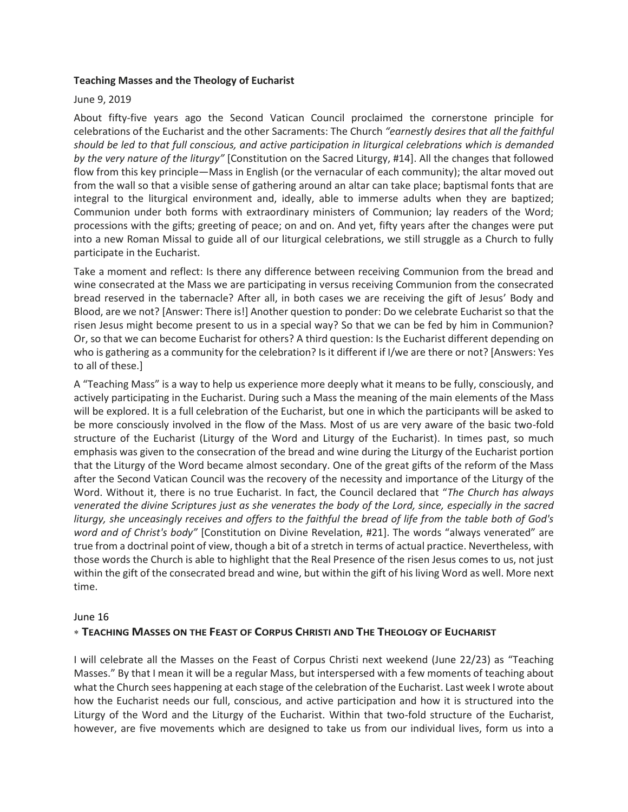### **Teaching Masses and the Theology of Eucharist**

### June 9, 2019

About fifty-five years ago the Second Vatican Council proclaimed the cornerstone principle for celebrations of the Eucharist and the other Sacraments: The Church *"earnestly desires that all the faithful should be led to that full conscious, and active participation in liturgical celebrations which is demanded by the very nature of the liturgy"* [Constitution on the Sacred Liturgy, #14]. All the changes that followed flow from this key principle—Mass in English (or the vernacular of each community); the altar moved out from the wall so that a visible sense of gathering around an altar can take place; baptismal fonts that are integral to the liturgical environment and, ideally, able to immerse adults when they are baptized; Communion under both forms with extraordinary ministers of Communion; lay readers of the Word; processions with the gifts; greeting of peace; on and on. And yet, fifty years after the changes were put into a new Roman Missal to guide all of our liturgical celebrations, we still struggle as a Church to fully participate in the Eucharist.

Take a moment and reflect: Is there any difference between receiving Communion from the bread and wine consecrated at the Mass we are participating in versus receiving Communion from the consecrated bread reserved in the tabernacle? After all, in both cases we are receiving the gift of Jesus' Body and Blood, are we not? [Answer: There is!] Another question to ponder: Do we celebrate Eucharist so that the risen Jesus might become present to us in a special way? So that we can be fed by him in Communion? Or, so that we can become Eucharist for others? A third question: Is the Eucharist different depending on who is gathering as a community for the celebration? Is it different if I/we are there or not? [Answers: Yes to all of these.]

A "Teaching Mass" is a way to help us experience more deeply what it means to be fully, consciously, and actively participating in the Eucharist. During such a Mass the meaning of the main elements of the Mass will be explored. It is a full celebration of the Eucharist, but one in which the participants will be asked to be more consciously involved in the flow of the Mass. Most of us are very aware of the basic two-fold structure of the Eucharist (Liturgy of the Word and Liturgy of the Eucharist). In times past, so much emphasis was given to the consecration of the bread and wine during the Liturgy of the Eucharist portion that the Liturgy of the Word became almost secondary. One of the great gifts of the reform of the Mass after the Second Vatican Council was the recovery of the necessity and importance of the Liturgy of the Word. Without it, there is no true Eucharist. In fact, the Council declared that "*The Church has always venerated the divine Scriptures just as she venerates the body of the Lord, since, especially in the sacred liturgy, she unceasingly receives and offers to the faithful the bread of life from the table both of God's word and of Christ's body"* [Constitution on Divine Revelation, #21]. The words "always venerated" are true from a doctrinal point of view, though a bit of a stretch in terms of actual practice. Nevertheless, with those words the Church is able to highlight that the Real Presence of the risen Jesus comes to us, not just within the gift of the consecrated bread and wine, but within the gift of his living Word as well. More next time.

#### June 16

## \* TEACHING MASSES ON THE FEAST OF CORPUS CHRISTI AND THE THEOLOGY OF EUCHARIST

I will celebrate all the Masses on the Feast of Corpus Christi next weekend (June 22/23) as "Teaching Masses." By that I mean it will be a regular Mass, but interspersed with a few moments of teaching about what the Church sees happening at each stage of the celebration of the Eucharist. Last week I wrote about how the Eucharist needs our full, conscious, and active participation and how it is structured into the Liturgy of the Word and the Liturgy of the Eucharist. Within that two-fold structure of the Eucharist, however, are five movements which are designed to take us from our individual lives, form us into a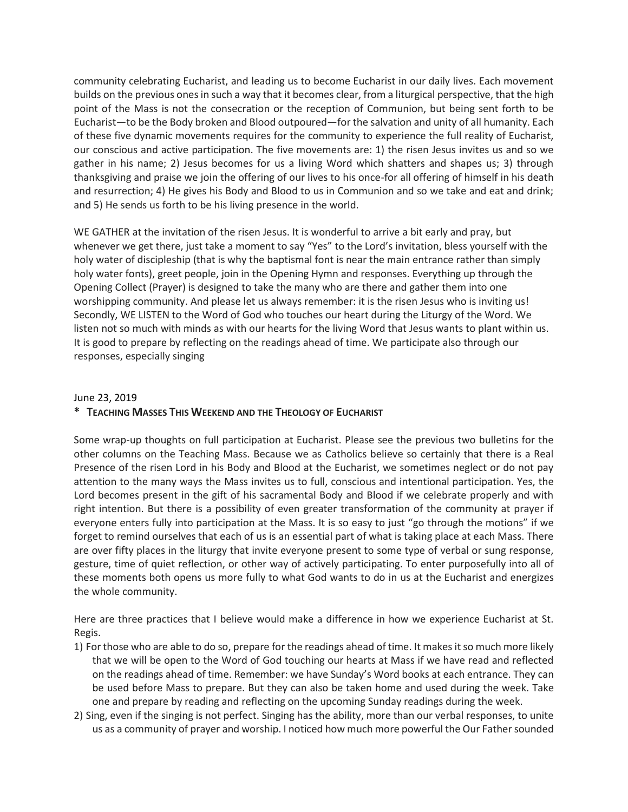community celebrating Eucharist, and leading us to become Eucharist in our daily lives. Each movement builds on the previous ones in such a way that it becomes clear, from a liturgical perspective, that the high point of the Mass is not the consecration or the reception of Communion, but being sent forth to be Eucharist—to be the Body broken and Blood outpoured—for the salvation and unity of all humanity. Each of these five dynamic movements requires for the community to experience the full reality of Eucharist, our conscious and active participation. The five movements are: 1) the risen Jesus invites us and so we gather in his name; 2) Jesus becomes for us a living Word which shatters and shapes us; 3) through thanksgiving and praise we join the offering of our lives to his once-for all offering of himself in his death and resurrection; 4) He gives his Body and Blood to us in Communion and so we take and eat and drink; and 5) He sends us forth to be his living presence in the world.

WE GATHER at the invitation of the risen Jesus. It is wonderful to arrive a bit early and pray, but whenever we get there, just take a moment to say "Yes" to the Lord's invitation, bless yourself with the holy water of discipleship (that is why the baptismal font is near the main entrance rather than simply holy water fonts), greet people, join in the Opening Hymn and responses. Everything up through the Opening Collect (Prayer) is designed to take the many who are there and gather them into one worshipping community. And please let us always remember: it is the risen Jesus who is inviting us! Secondly, WE LISTEN to the Word of God who touches our heart during the Liturgy of the Word. We listen not so much with minds as with our hearts for the living Word that Jesus wants to plant within us. It is good to prepare by reflecting on the readings ahead of time. We participate also through our responses, especially singing

## June 23, 2019

# **\* TEACHING MASSES THIS WEEKEND AND THE THEOLOGY OF EUCHARIST**

Some wrap-up thoughts on full participation at Eucharist. Please see the previous two bulletins for the other columns on the Teaching Mass. Because we as Catholics believe so certainly that there is a Real Presence of the risen Lord in his Body and Blood at the Eucharist, we sometimes neglect or do not pay attention to the many ways the Mass invites us to full, conscious and intentional participation. Yes, the Lord becomes present in the gift of his sacramental Body and Blood if we celebrate properly and with right intention. But there is a possibility of even greater transformation of the community at prayer if everyone enters fully into participation at the Mass. It is so easy to just "go through the motions" if we forget to remind ourselves that each of us is an essential part of what is taking place at each Mass. There are over fifty places in the liturgy that invite everyone present to some type of verbal or sung response, gesture, time of quiet reflection, or other way of actively participating. To enter purposefully into all of these moments both opens us more fully to what God wants to do in us at the Eucharist and energizes the whole community.

Here are three practices that I believe would make a difference in how we experience Eucharist at St. Regis.

- 1) For those who are able to do so, prepare for the readings ahead of time. It makes it so much more likely that we will be open to the Word of God touching our hearts at Mass if we have read and reflected on the readings ahead of time. Remember: we have Sunday's Word books at each entrance. They can be used before Mass to prepare. But they can also be taken home and used during the week. Take one and prepare by reading and reflecting on the upcoming Sunday readings during the week.
- 2) Sing, even if the singing is not perfect. Singing has the ability, more than our verbal responses, to unite us as a community of prayer and worship. I noticed how much more powerful the Our Father sounded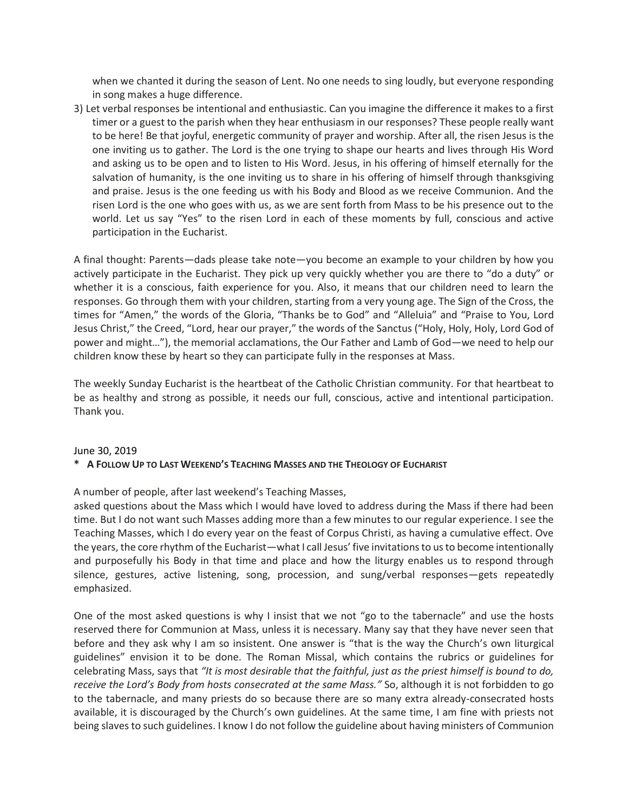when we chanted it during the season of Lent. No one needs to sing loudly, but everyone responding in song makes a huge difference.

3) Let verbal responses be intentional and enthusiastic. Can you imagine the difference it makes to a first timer or a guest to the parish when they hear enthusiasm in our responses? These people really want to be here! Be that joyful, energetic community of prayer and worship. After all, the risen Jesus is the one inviting us to gather. The Lord is the one trying to shape our hearts and lives through His Word and asking us to be open and to listen to His Word. Jesus, in his offering of himself eternally for the salvation of humanity, is the one inviting us to share in his offering of himself through thanksgiving and praise. Jesus is the one feeding us with his Body and Blood as we receive Communion. And the risen Lord is the one who goes with us, as we are sent forth from Mass to be his presence out to the world. Let us say "Yes" to the risen Lord in each of these moments by full, conscious and active participation in the Eucharist.

A final thought: Parents—dads please take note—you become an example to your children by how you actively participate in the Eucharist. They pick up very quickly whether you are there to "do a duty" or whether it is a conscious, faith experience for you. Also, it means that our children need to learn the responses. Go through them with your children, starting from a very young age. The Sign of the Cross, the times for "Amen," the words of the Gloria, "Thanks be to God" and "Alleluia" and "Praise to You, Lord Jesus Christ," the Creed, "Lord, hear our prayer," the words of the Sanctus ("Holy, Holy, Holy, Lord God of power and might…"), the memorial acclamations, the Our Father and Lamb of God—we need to help our children know these by heart so they can participate fully in the responses at Mass.

The weekly Sunday Eucharist is the heartbeat of the Catholic Christian community. For that heartbeat to be as healthy and strong as possible, it needs our full, conscious, active and intentional participation. Thank you.

#### June 30, 2019

## **\* A FOLLOW UP TO LAST WEEKEND'S TEACHING MASSES AND THE THEOLOGY OF EUCHARIST**

A number of people, after last weekend's Teaching Masses,

asked questions about the Mass which I would have loved to address during the Mass if there had been time. But I do not want such Masses adding more than a few minutes to our regular experience. I see the Teaching Masses, which I do every year on the feast of Corpus Christi, as having a cumulative effect. Ove the years, the core rhythm of the Eucharist—what I call Jesus' five invitations to us to become intentionally and purposefully his Body in that time and place and how the liturgy enables us to respond through silence, gestures, active listening, song, procession, and sung/verbal responses—gets repeatedly emphasized.

One of the most asked questions is why I insist that we not "go to the tabernacle" and use the hosts reserved there for Communion at Mass, unless it is necessary. Many say that they have never seen that before and they ask why I am so insistent. One answer is "that is the way the Church's own liturgical guidelines" envision it to be done. The Roman Missal, which contains the rubrics or guidelines for celebrating Mass, says that *"It is most desirable that the faithful, just as the priest himself is bound to do, receive the Lord's Body from hosts consecrated at the same Mass."* So, although it is not forbidden to go to the tabernacle, and many priests do so because there are so many extra already-consecrated hosts available, it is discouraged by the Church's own guidelines. At the same time, I am fine with priests not being slaves to such guidelines. I know I do not follow the guideline about having ministers of Communion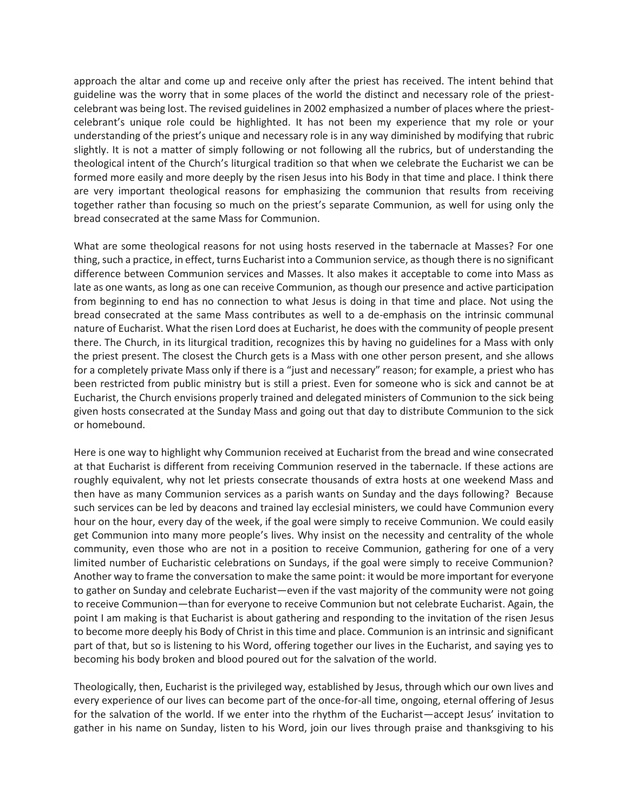approach the altar and come up and receive only after the priest has received. The intent behind that guideline was the worry that in some places of the world the distinct and necessary role of the priestcelebrant was being lost. The revised guidelines in 2002 emphasized a number of places where the priestcelebrant's unique role could be highlighted. It has not been my experience that my role or your understanding of the priest's unique and necessary role is in any way diminished by modifying that rubric slightly. It is not a matter of simply following or not following all the rubrics, but of understanding the theological intent of the Church's liturgical tradition so that when we celebrate the Eucharist we can be formed more easily and more deeply by the risen Jesus into his Body in that time and place. I think there are very important theological reasons for emphasizing the communion that results from receiving together rather than focusing so much on the priest's separate Communion, as well for using only the bread consecrated at the same Mass for Communion.

What are some theological reasons for not using hosts reserved in the tabernacle at Masses? For one thing, such a practice, in effect, turns Eucharist into a Communion service, as though there is no significant difference between Communion services and Masses. It also makes it acceptable to come into Mass as late as one wants, as long as one can receive Communion, as though our presence and active participation from beginning to end has no connection to what Jesus is doing in that time and place. Not using the bread consecrated at the same Mass contributes as well to a de-emphasis on the intrinsic communal nature of Eucharist. What the risen Lord does at Eucharist, he does with the community of people present there. The Church, in its liturgical tradition, recognizes this by having no guidelines for a Mass with only the priest present. The closest the Church gets is a Mass with one other person present, and she allows for a completely private Mass only if there is a "just and necessary" reason; for example, a priest who has been restricted from public ministry but is still a priest. Even for someone who is sick and cannot be at Eucharist, the Church envisions properly trained and delegated ministers of Communion to the sick being given hosts consecrated at the Sunday Mass and going out that day to distribute Communion to the sick or homebound.

Here is one way to highlight why Communion received at Eucharist from the bread and wine consecrated at that Eucharist is different from receiving Communion reserved in the tabernacle. If these actions are roughly equivalent, why not let priests consecrate thousands of extra hosts at one weekend Mass and then have as many Communion services as a parish wants on Sunday and the days following? Because such services can be led by deacons and trained lay ecclesial ministers, we could have Communion every hour on the hour, every day of the week, if the goal were simply to receive Communion. We could easily get Communion into many more people's lives. Why insist on the necessity and centrality of the whole community, even those who are not in a position to receive Communion, gathering for one of a very limited number of Eucharistic celebrations on Sundays, if the goal were simply to receive Communion? Another way to frame the conversation to make the same point: it would be more important for everyone to gather on Sunday and celebrate Eucharist—even if the vast majority of the community were not going to receive Communion—than for everyone to receive Communion but not celebrate Eucharist. Again, the point I am making is that Eucharist is about gathering and responding to the invitation of the risen Jesus to become more deeply his Body of Christ in this time and place. Communion is an intrinsic and significant part of that, but so is listening to his Word, offering together our lives in the Eucharist, and saying yes to becoming his body broken and blood poured out for the salvation of the world.

Theologically, then, Eucharist is the privileged way, established by Jesus, through which our own lives and every experience of our lives can become part of the once-for-all time, ongoing, eternal offering of Jesus for the salvation of the world. If we enter into the rhythm of the Eucharist—accept Jesus' invitation to gather in his name on Sunday, listen to his Word, join our lives through praise and thanksgiving to his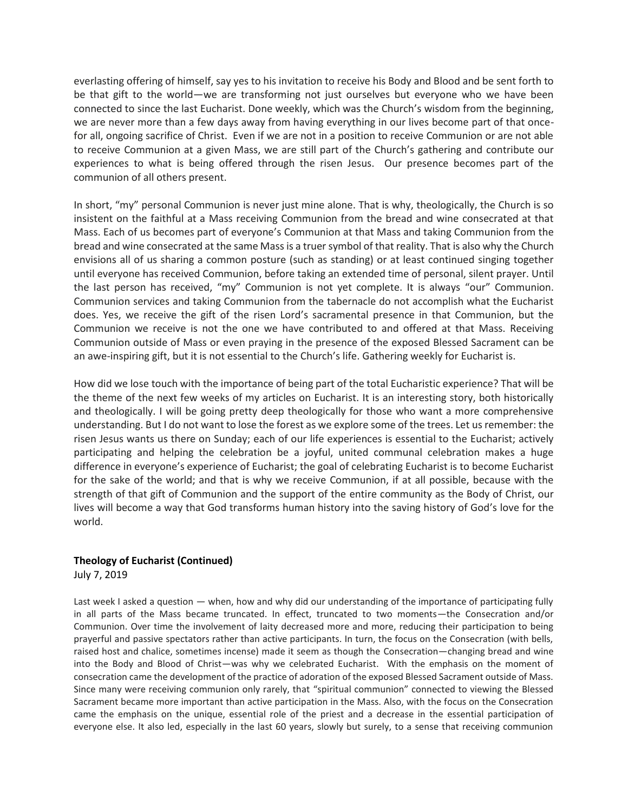everlasting offering of himself, say yes to his invitation to receive his Body and Blood and be sent forth to be that gift to the world—we are transforming not just ourselves but everyone who we have been connected to since the last Eucharist. Done weekly, which was the Church's wisdom from the beginning, we are never more than a few days away from having everything in our lives become part of that oncefor all, ongoing sacrifice of Christ. Even if we are not in a position to receive Communion or are not able to receive Communion at a given Mass, we are still part of the Church's gathering and contribute our experiences to what is being offered through the risen Jesus. Our presence becomes part of the communion of all others present.

In short, "my" personal Communion is never just mine alone. That is why, theologically, the Church is so insistent on the faithful at a Mass receiving Communion from the bread and wine consecrated at that Mass. Each of us becomes part of everyone's Communion at that Mass and taking Communion from the bread and wine consecrated at the same Mass is a truer symbol of that reality. That is also why the Church envisions all of us sharing a common posture (such as standing) or at least continued singing together until everyone has received Communion, before taking an extended time of personal, silent prayer. Until the last person has received, "my" Communion is not yet complete. It is always "our" Communion. Communion services and taking Communion from the tabernacle do not accomplish what the Eucharist does. Yes, we receive the gift of the risen Lord's sacramental presence in that Communion, but the Communion we receive is not the one we have contributed to and offered at that Mass. Receiving Communion outside of Mass or even praying in the presence of the exposed Blessed Sacrament can be an awe-inspiring gift, but it is not essential to the Church's life. Gathering weekly for Eucharist is.

How did we lose touch with the importance of being part of the total Eucharistic experience? That will be the theme of the next few weeks of my articles on Eucharist. It is an interesting story, both historically and theologically. I will be going pretty deep theologically for those who want a more comprehensive understanding. But I do not want to lose the forest as we explore some of the trees. Let us remember: the risen Jesus wants us there on Sunday; each of our life experiences is essential to the Eucharist; actively participating and helping the celebration be a joyful, united communal celebration makes a huge difference in everyone's experience of Eucharist; the goal of celebrating Eucharist is to become Eucharist for the sake of the world; and that is why we receive Communion, if at all possible, because with the strength of that gift of Communion and the support of the entire community as the Body of Christ, our lives will become a way that God transforms human history into the saving history of God's love for the world.

### **Theology of Eucharist (Continued)** July 7, 2019

Last week I asked a question — when, how and why did our understanding of the importance of participating fully in all parts of the Mass became truncated. In effect, truncated to two moments—the Consecration and/or Communion. Over time the involvement of laity decreased more and more, reducing their participation to being prayerful and passive spectators rather than active participants. In turn, the focus on the Consecration (with bells, raised host and chalice, sometimes incense) made it seem as though the Consecration—changing bread and wine into the Body and Blood of Christ—was why we celebrated Eucharist. With the emphasis on the moment of consecration came the development of the practice of adoration of the exposed Blessed Sacrament outside of Mass. Since many were receiving communion only rarely, that "spiritual communion" connected to viewing the Blessed Sacrament became more important than active participation in the Mass. Also, with the focus on the Consecration came the emphasis on the unique, essential role of the priest and a decrease in the essential participation of everyone else. It also led, especially in the last 60 years, slowly but surely, to a sense that receiving communion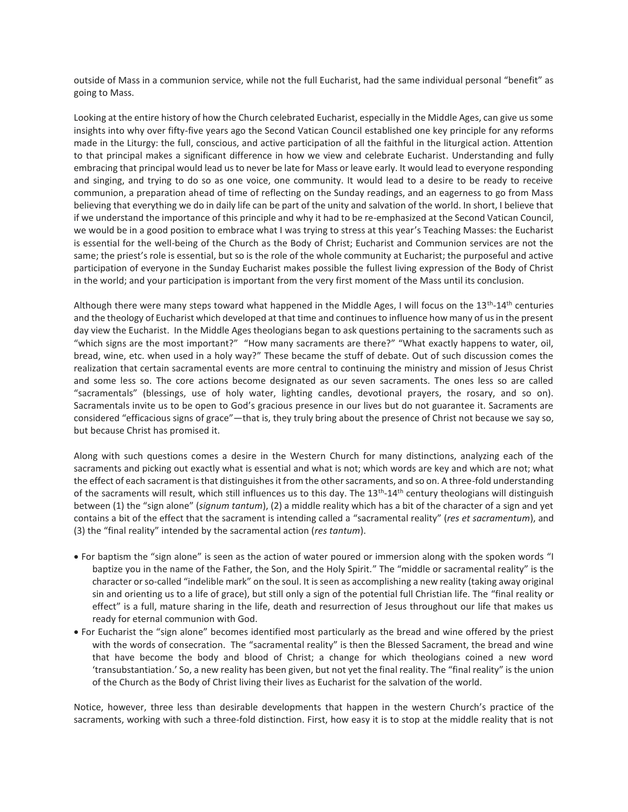outside of Mass in a communion service, while not the full Eucharist, had the same individual personal "benefit" as going to Mass.

Looking at the entire history of how the Church celebrated Eucharist, especially in the Middle Ages, can give us some insights into why over fifty-five years ago the Second Vatican Council established one key principle for any reforms made in the Liturgy: the full, conscious, and active participation of all the faithful in the liturgical action. Attention to that principal makes a significant difference in how we view and celebrate Eucharist. Understanding and fully embracing that principal would lead us to never be late for Mass or leave early. It would lead to everyone responding and singing, and trying to do so as one voice, one community. It would lead to a desire to be ready to receive communion, a preparation ahead of time of reflecting on the Sunday readings, and an eagerness to go from Mass believing that everything we do in daily life can be part of the unity and salvation of the world. In short, I believe that if we understand the importance of this principle and why it had to be re-emphasized at the Second Vatican Council, we would be in a good position to embrace what I was trying to stress at this year's Teaching Masses: the Eucharist is essential for the well-being of the Church as the Body of Christ; Eucharist and Communion services are not the same; the priest's role is essential, but so is the role of the whole community at Eucharist; the purposeful and active participation of everyone in the Sunday Eucharist makes possible the fullest living expression of the Body of Christ in the world; and your participation is important from the very first moment of the Mass until its conclusion.

Although there were many steps toward what happened in the Middle Ages, I will focus on the 13<sup>th</sup>-14<sup>th</sup> centuries and the theology of Eucharist which developed at that time and continues to influence how many of us in the present day view the Eucharist. In the Middle Ages theologians began to ask questions pertaining to the sacraments such as "which signs are the most important?" "How many sacraments are there?" "What exactly happens to water, oil, bread, wine, etc. when used in a holy way?" These became the stuff of debate. Out of such discussion comes the realization that certain sacramental events are more central to continuing the ministry and mission of Jesus Christ and some less so. The core actions become designated as our seven sacraments. The ones less so are called "sacramentals" (blessings, use of holy water, lighting candles, devotional prayers, the rosary, and so on). Sacramentals invite us to be open to God's gracious presence in our lives but do not guarantee it. Sacraments are considered "efficacious signs of grace"—that is, they truly bring about the presence of Christ not because we say so, but because Christ has promised it.

Along with such questions comes a desire in the Western Church for many distinctions, analyzing each of the sacraments and picking out exactly what is essential and what is not; which words are key and which are not; what the effect of each sacrament is that distinguishes it from the other sacraments, and so on. A three-fold understanding of the sacraments will result, which still influences us to this day. The 13<sup>th</sup>-14<sup>th</sup> century theologians will distinguish between (1) the "sign alone" (*signum tantum*), (2) a middle reality which has a bit of the character of a sign and yet contains a bit of the effect that the sacrament is intending called a "sacramental reality" (*res et sacramentum*), and (3) the "final reality" intended by the sacramental action (*res tantum*).

- For baptism the "sign alone" is seen as the action of water poured or immersion along with the spoken words "I baptize you in the name of the Father, the Son, and the Holy Spirit." The "middle or sacramental reality" is the character or so-called "indelible mark" on the soul. It is seen as accomplishing a new reality (taking away original sin and orienting us to a life of grace), but still only a sign of the potential full Christian life. The "final reality or effect" is a full, mature sharing in the life, death and resurrection of Jesus throughout our life that makes us ready for eternal communion with God.
- For Eucharist the "sign alone" becomes identified most particularly as the bread and wine offered by the priest with the words of consecration. The "sacramental reality" is then the Blessed Sacrament, the bread and wine that have become the body and blood of Christ; a change for which theologians coined a new word 'transubstantiation.' So, a new reality has been given, but not yet the final reality. The "final reality" is the union of the Church as the Body of Christ living their lives as Eucharist for the salvation of the world.

Notice, however, three less than desirable developments that happen in the western Church's practice of the sacraments, working with such a three-fold distinction. First, how easy it is to stop at the middle reality that is not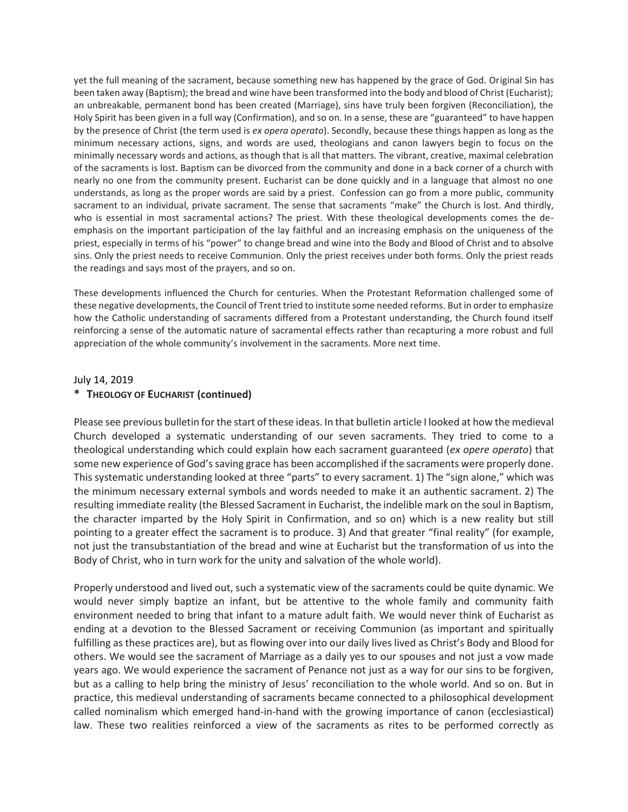yet the full meaning of the sacrament, because something new has happened by the grace of God. Original Sin has been taken away (Baptism); the bread and wine have been transformed into the body and blood of Christ (Eucharist); an unbreakable, permanent bond has been created (Marriage), sins have truly been forgiven (Reconciliation), the Holy Spirit has been given in a full way (Confirmation), and so on. In a sense, these are "guaranteed" to have happen by the presence of Christ (the term used is *ex opera operato*). Secondly, because these things happen as long as the minimum necessary actions, signs, and words are used, theologians and canon lawyers begin to focus on the minimally necessary words and actions, as though that is all that matters. The vibrant, creative, maximal celebration of the sacraments is lost. Baptism can be divorced from the community and done in a back corner of a church with nearly no one from the community present. Eucharist can be done quickly and in a language that almost no one understands, as long as the proper words are said by a priest. Confession can go from a more public, community sacrament to an individual, private sacrament. The sense that sacraments "make" the Church is lost. And thirdly, who is essential in most sacramental actions? The priest. With these theological developments comes the deemphasis on the important participation of the lay faithful and an increasing emphasis on the uniqueness of the priest, especially in terms of his "power" to change bread and wine into the Body and Blood of Christ and to absolve sins. Only the priest needs to receive Communion. Only the priest receives under both forms. Only the priest reads the readings and says most of the prayers, and so on.

These developments influenced the Church for centuries. When the Protestant Reformation challenged some of these negative developments, the Council of Trent tried to institute some needed reforms. But in order to emphasize how the Catholic understanding of sacraments differed from a Protestant understanding, the Church found itself reinforcing a sense of the automatic nature of sacramental effects rather than recapturing a more robust and full appreciation of the whole community's involvement in the sacraments. More next time.

#### July 14, 2019

### **\* THEOLOGY OF EUCHARIST (continued)**

Please see previous bulletin for the start of these ideas. In that bulletin article I looked at how the medieval Church developed a systematic understanding of our seven sacraments. They tried to come to a theological understanding which could explain how each sacrament guaranteed (*ex opere operato*) that some new experience of God's saving grace has been accomplished if the sacraments were properly done. This systematic understanding looked at three "parts" to every sacrament. 1) The "sign alone," which was the minimum necessary external symbols and words needed to make it an authentic sacrament. 2) The resulting immediate reality (the Blessed Sacrament in Eucharist, the indelible mark on the soul in Baptism, the character imparted by the Holy Spirit in Confirmation, and so on) which is a new reality but still pointing to a greater effect the sacrament is to produce. 3) And that greater "final reality" (for example, not just the transubstantiation of the bread and wine at Eucharist but the transformation of us into the Body of Christ, who in turn work for the unity and salvation of the whole world).

Properly understood and lived out, such a systematic view of the sacraments could be quite dynamic. We would never simply baptize an infant, but be attentive to the whole family and community faith environment needed to bring that infant to a mature adult faith. We would never think of Eucharist as ending at a devotion to the Blessed Sacrament or receiving Communion (as important and spiritually fulfilling as these practices are), but as flowing over into our daily lives lived as Christ's Body and Blood for others. We would see the sacrament of Marriage as a daily yes to our spouses and not just a vow made years ago. We would experience the sacrament of Penance not just as a way for our sins to be forgiven, but as a calling to help bring the ministry of Jesus' reconciliation to the whole world. And so on. But in practice, this medieval understanding of sacraments became connected to a philosophical development called nominalism which emerged hand-in-hand with the growing importance of canon (ecclesiastical) law. These two realities reinforced a view of the sacraments as rites to be performed correctly as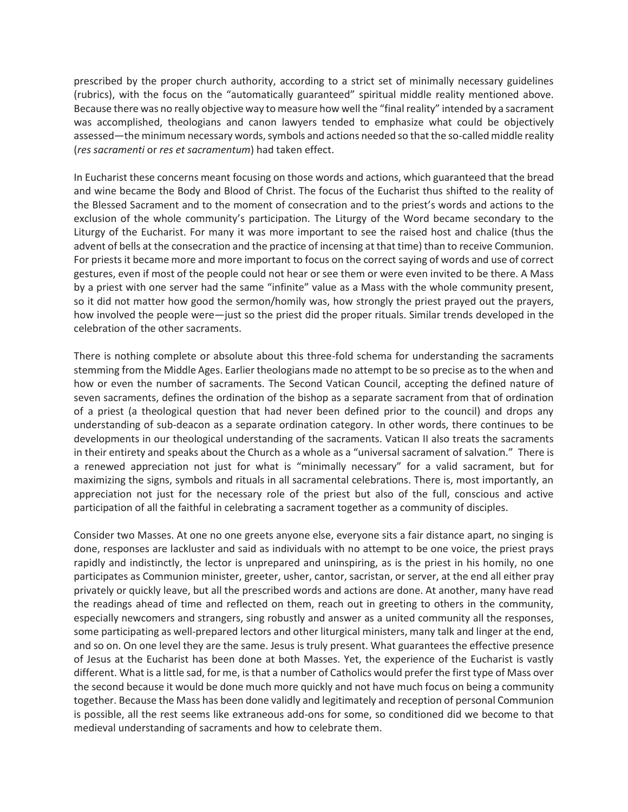prescribed by the proper church authority, according to a strict set of minimally necessary guidelines (rubrics), with the focus on the "automatically guaranteed" spiritual middle reality mentioned above. Because there was no really objective way to measure how well the "final reality" intended by a sacrament was accomplished, theologians and canon lawyers tended to emphasize what could be objectively assessed—the minimum necessary words, symbols and actions needed so that the so-called middle reality (*res sacramenti* or *res et sacramentum*) had taken effect.

In Eucharist these concerns meant focusing on those words and actions, which guaranteed that the bread and wine became the Body and Blood of Christ. The focus of the Eucharist thus shifted to the reality of the Blessed Sacrament and to the moment of consecration and to the priest's words and actions to the exclusion of the whole community's participation. The Liturgy of the Word became secondary to the Liturgy of the Eucharist. For many it was more important to see the raised host and chalice (thus the advent of bells at the consecration and the practice of incensing at that time) than to receive Communion. For priests it became more and more important to focus on the correct saying of words and use of correct gestures, even if most of the people could not hear or see them or were even invited to be there. A Mass by a priest with one server had the same "infinite" value as a Mass with the whole community present, so it did not matter how good the sermon/homily was, how strongly the priest prayed out the prayers, how involved the people were—just so the priest did the proper rituals. Similar trends developed in the celebration of the other sacraments.

There is nothing complete or absolute about this three-fold schema for understanding the sacraments stemming from the Middle Ages. Earlier theologians made no attempt to be so precise as to the when and how or even the number of sacraments. The Second Vatican Council, accepting the defined nature of seven sacraments, defines the ordination of the bishop as a separate sacrament from that of ordination of a priest (a theological question that had never been defined prior to the council) and drops any understanding of sub-deacon as a separate ordination category. In other words, there continues to be developments in our theological understanding of the sacraments. Vatican II also treats the sacraments in their entirety and speaks about the Church as a whole as a "universal sacrament of salvation." There is a renewed appreciation not just for what is "minimally necessary" for a valid sacrament, but for maximizing the signs, symbols and rituals in all sacramental celebrations. There is, most importantly, an appreciation not just for the necessary role of the priest but also of the full, conscious and active participation of all the faithful in celebrating a sacrament together as a community of disciples.

Consider two Masses. At one no one greets anyone else, everyone sits a fair distance apart, no singing is done, responses are lackluster and said as individuals with no attempt to be one voice, the priest prays rapidly and indistinctly, the lector is unprepared and uninspiring, as is the priest in his homily, no one participates as Communion minister, greeter, usher, cantor, sacristan, or server, at the end all either pray privately or quickly leave, but all the prescribed words and actions are done. At another, many have read the readings ahead of time and reflected on them, reach out in greeting to others in the community, especially newcomers and strangers, sing robustly and answer as a united community all the responses, some participating as well-prepared lectors and other liturgical ministers, many talk and linger at the end, and so on. On one level they are the same. Jesus is truly present. What guarantees the effective presence of Jesus at the Eucharist has been done at both Masses. Yet, the experience of the Eucharist is vastly different. What is a little sad, for me, is that a number of Catholics would prefer the first type of Mass over the second because it would be done much more quickly and not have much focus on being a community together. Because the Mass has been done validly and legitimately and reception of personal Communion is possible, all the rest seems like extraneous add-ons for some, so conditioned did we become to that medieval understanding of sacraments and how to celebrate them.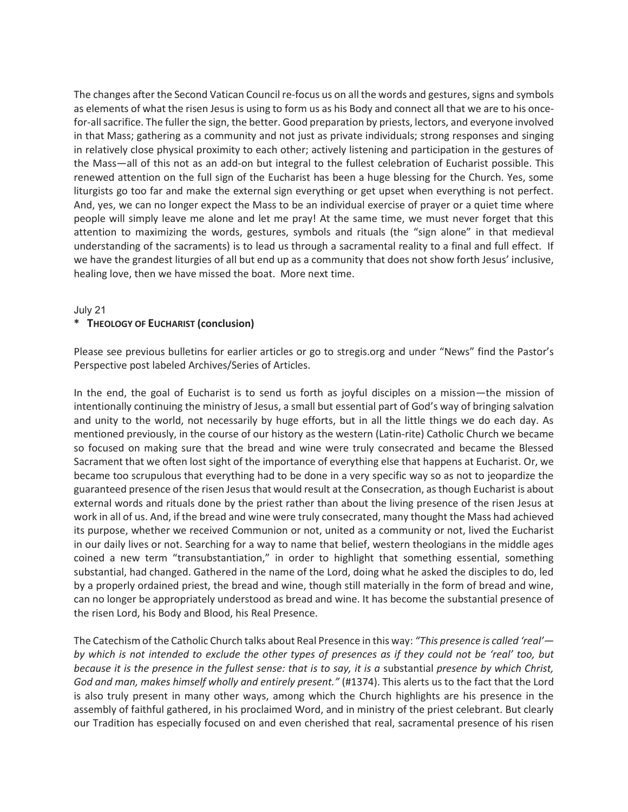The changes after the Second Vatican Council re-focus us on all the words and gestures, signs and symbols as elements of what the risen Jesus is using to form us as his Body and connect all that we are to his oncefor-all sacrifice. The fuller the sign, the better. Good preparation by priests, lectors, and everyone involved in that Mass; gathering as a community and not just as private individuals; strong responses and singing in relatively close physical proximity to each other; actively listening and participation in the gestures of the Mass—all of this not as an add-on but integral to the fullest celebration of Eucharist possible. This renewed attention on the full sign of the Eucharist has been a huge blessing for the Church. Yes, some liturgists go too far and make the external sign everything or get upset when everything is not perfect. And, yes, we can no longer expect the Mass to be an individual exercise of prayer or a quiet time where people will simply leave me alone and let me pray! At the same time, we must never forget that this attention to maximizing the words, gestures, symbols and rituals (the "sign alone" in that medieval understanding of the sacraments) is to lead us through a sacramental reality to a final and full effect. If we have the grandest liturgies of all but end up as a community that does not show forth Jesus' inclusive, healing love, then we have missed the boat. More next time.

#### July 21

## **\* THEOLOGY OF EUCHARIST (conclusion)**

Please see previous bulletins for earlier articles or go to stregis.org and under "News" find the Pastor's Perspective post labeled Archives/Series of Articles.

In the end, the goal of Eucharist is to send us forth as joyful disciples on a mission—the mission of intentionally continuing the ministry of Jesus, a small but essential part of God's way of bringing salvation and unity to the world, not necessarily by huge efforts, but in all the little things we do each day. As mentioned previously, in the course of our history as the western (Latin-rite) Catholic Church we became so focused on making sure that the bread and wine were truly consecrated and became the Blessed Sacrament that we often lost sight of the importance of everything else that happens at Eucharist. Or, we became too scrupulous that everything had to be done in a very specific way so as not to jeopardize the guaranteed presence of the risen Jesus that would result at the Consecration, as though Eucharist is about external words and rituals done by the priest rather than about the living presence of the risen Jesus at work in all of us. And, if the bread and wine were truly consecrated, many thought the Mass had achieved its purpose, whether we received Communion or not, united as a community or not, lived the Eucharist in our daily lives or not. Searching for a way to name that belief, western theologians in the middle ages coined a new term "transubstantiation," in order to highlight that something essential, something substantial, had changed. Gathered in the name of the Lord, doing what he asked the disciples to do, led by a properly ordained priest, the bread and wine, though still materially in the form of bread and wine, can no longer be appropriately understood as bread and wine. It has become the substantial presence of the risen Lord, his Body and Blood, his Real Presence.

The Catechism of the Catholic Church talks about Real Presence in this way: *"This presence is called 'real' by which is not intended to exclude the other types of presences as if they could not be 'real' too, but because it is the presence in the fullest sense: that is to say, it is a* substantial *presence by which Christ, God and man, makes himself wholly and entirely present."* (#1374). This alerts us to the fact that the Lord is also truly present in many other ways, among which the Church highlights are his presence in the assembly of faithful gathered, in his proclaimed Word, and in ministry of the priest celebrant. But clearly our Tradition has especially focused on and even cherished that real, sacramental presence of his risen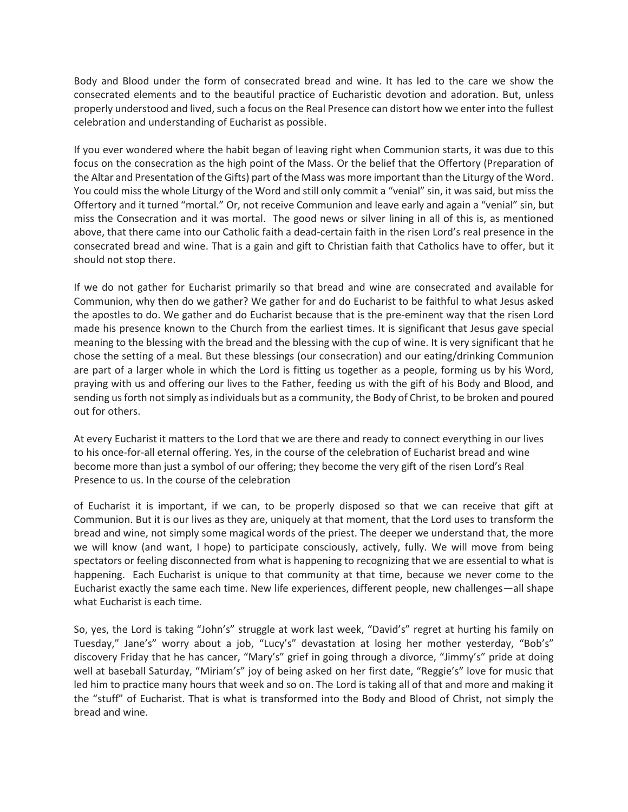Body and Blood under the form of consecrated bread and wine. It has led to the care we show the consecrated elements and to the beautiful practice of Eucharistic devotion and adoration. But, unless properly understood and lived, such a focus on the Real Presence can distort how we enter into the fullest celebration and understanding of Eucharist as possible.

If you ever wondered where the habit began of leaving right when Communion starts, it was due to this focus on the consecration as the high point of the Mass. Or the belief that the Offertory (Preparation of the Altar and Presentation of the Gifts) part of the Mass was more important than the Liturgy of the Word. You could miss the whole Liturgy of the Word and still only commit a "venial" sin, it was said, but miss the Offertory and it turned "mortal." Or, not receive Communion and leave early and again a "venial" sin, but miss the Consecration and it was mortal. The good news or silver lining in all of this is, as mentioned above, that there came into our Catholic faith a dead-certain faith in the risen Lord's real presence in the consecrated bread and wine. That is a gain and gift to Christian faith that Catholics have to offer, but it should not stop there.

If we do not gather for Eucharist primarily so that bread and wine are consecrated and available for Communion, why then do we gather? We gather for and do Eucharist to be faithful to what Jesus asked the apostles to do. We gather and do Eucharist because that is the pre-eminent way that the risen Lord made his presence known to the Church from the earliest times. It is significant that Jesus gave special meaning to the blessing with the bread and the blessing with the cup of wine. It is very significant that he chose the setting of a meal. But these blessings (our consecration) and our eating/drinking Communion are part of a larger whole in which the Lord is fitting us together as a people, forming us by his Word, praying with us and offering our lives to the Father, feeding us with the gift of his Body and Blood, and sending us forth not simply as individuals but as a community, the Body of Christ, to be broken and poured out for others.

At every Eucharist it matters to the Lord that we are there and ready to connect everything in our lives to his once-for-all eternal offering. Yes, in the course of the celebration of Eucharist bread and wine become more than just a symbol of our offering; they become the very gift of the risen Lord's Real Presence to us. In the course of the celebration

of Eucharist it is important, if we can, to be properly disposed so that we can receive that gift at Communion. But it is our lives as they are, uniquely at that moment, that the Lord uses to transform the bread and wine, not simply some magical words of the priest. The deeper we understand that, the more we will know (and want, I hope) to participate consciously, actively, fully. We will move from being spectators or feeling disconnected from what is happening to recognizing that we are essential to what is happening. Each Eucharist is unique to that community at that time, because we never come to the Eucharist exactly the same each time. New life experiences, different people, new challenges—all shape what Eucharist is each time.

So, yes, the Lord is taking "John's" struggle at work last week, "David's" regret at hurting his family on Tuesday," Jane's" worry about a job, "Lucy's" devastation at losing her mother yesterday, "Bob's" discovery Friday that he has cancer, "Mary's" grief in going through a divorce, "Jimmy's" pride at doing well at baseball Saturday, "Miriam's" joy of being asked on her first date, "Reggie's" love for music that led him to practice many hours that week and so on. The Lord is taking all of that and more and making it the "stuff" of Eucharist. That is what is transformed into the Body and Blood of Christ, not simply the bread and wine.